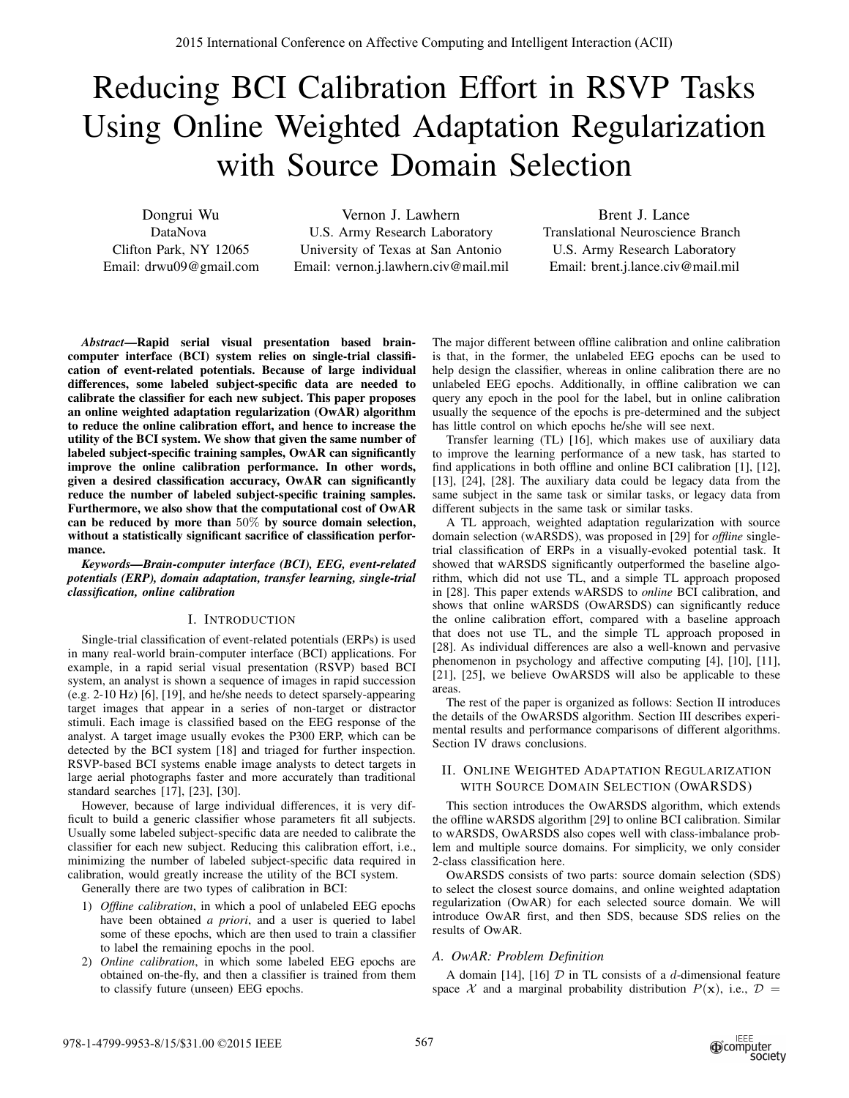# Reducing BCI Calibration Effort in RSVP Tasks Using Online Weighted Adaptation Regularization with Source Domain Selection

Dongrui Wu DataNova Clifton Park, NY 12065 Email: drwu09@gmail.com

Vernon J. Lawhern U.S. Army Research Laboratory University of Texas at San Antonio Email: vernon.j.lawhern.civ@mail.mil

Brent J. Lance Translational Neuroscience Branch U.S. Army Research Laboratory Email: brent.j.lance.civ@mail.mil

*Abstract***—Rapid serial visual presentation based braincomputer interface (BCI) system relies on single-trial classification of event-related potentials. Because of large individual differences, some labeled subject-specific data are needed to calibrate the classifier for each new subject. This paper proposes an online weighted adaptation regularization (OwAR) algorithm to reduce the online calibration effort, and hence to increase the utility of the BCI system. We show that given the same number of labeled subject-specific training samples, OwAR can significantly improve the online calibration performance. In other words, given a desired classification accuracy, OwAR can significantly reduce the number of labeled subject-specific training samples. Furthermore, we also show that the computational cost of OwAR can be reduced by more than** 50% **by source domain selection, without a statistically significant sacrifice of classification performance.** 2878 harmonical Conference on Affective Computing and Intelligent Interaction (ACII)<br>
Reducing BCI Calibration Effective Computing and Intelligent Interactional Computing Computing Computing and Computing Computing Comput

*Keywords—Brain-computer interface (BCI), EEG, event-related potentials (ERP), domain adaptation, transfer learning, single-trial classification, online calibration*

# I. INTRODUCTION

Single-trial classification of event-related potentials (ERPs) is used in many real-world brain-computer interface (BCI) applications. For example, in a rapid serial visual presentation (RSVP) based BCI system, an analyst is shown a sequence of images in rapid succession (e.g. 2-10 Hz) [6], [19], and he/she needs to detect sparsely-appearing target images that appear in a series of non-target or distractor stimuli. Each image is classified based on the EEG response of the analyst. A target image usually evokes the P300 ERP, which can be detected by the BCI system [18] and triaged for further inspection. RSVP-based BCI systems enable image analysts to detect targets in large aerial photographs faster and more accurately than traditional standard searches [17], [23], [30].

However, because of large individual differences, it is very difficult to build a generic classifier whose parameters fit all subjects. Usually some labeled subject-specific data are needed to calibrate the classifier for each new subject. Reducing this calibration effort, i.e., minimizing the number of labeled subject-specific data required in calibration, would greatly increase the utility of the BCI system.

Generally there are two types of calibration in BCI:

- 1) *Offline calibration*, in which a pool of unlabeled EEG epochs have been obtained *a priori*, and a user is queried to label some of these epochs, which are then used to train a classifier to label the remaining epochs in the pool.
- 2) *Online calibration*, in which some labeled EEG epochs are obtained on-the-fly, and then a classifier is trained from them to classify future (unseen) EEG epochs.

The major different between offline calibration and online calibration is that, in the former, the unlabeled EEG epochs can be used to help design the classifier, whereas in online calibration there are no unlabeled EEG epochs. Additionally, in offline calibration we can query any epoch in the pool for the label, but in online calibration usually the sequence of the epochs is pre-determined and the subject has little control on which epochs he/she will see next.

Transfer learning (TL) [16], which makes use of auxiliary data to improve the learning performance of a new task, has started to find applications in both offline and online BCI calibration [1], [12], [13], [24], [28]. The auxiliary data could be legacy data from the same subject in the same task or similar tasks, or legacy data from different subjects in the same task or similar tasks.

A TL approach, weighted adaptation regularization with source domain selection (wARSDS), was proposed in [29] for *offline* singletrial classification of ERPs in a visually-evoked potential task. It showed that wARSDS significantly outperformed the baseline algorithm, which did not use TL, and a simple TL approach proposed in [28]. This paper extends wARSDS to *online* BCI calibration, and shows that online wARSDS (OwARSDS) can significantly reduce the online calibration effort, compared with a baseline approach that does not use TL, and the simple TL approach proposed in [28]. As individual differences are also a well-known and pervasive phenomenon in psychology and affective computing [4], [10], [11], [21], [25], we believe OwARSDS will also be applicable to these areas.

The rest of the paper is organized as follows: Section II introduces the details of the OwARSDS algorithm. Section III describes experimental results and performance comparisons of different algorithms. Section IV draws conclusions.

# II. ONLINE WEIGHTED ADAPTATION REGULARIZATION WITH SOURCE DOMAIN SELECTION (OWARSDS)

This section introduces the OwARSDS algorithm, which extends the offline wARSDS algorithm [29] to online BCI calibration. Similar to wARSDS, OwARSDS also copes well with class-imbalance problem and multiple source domains. For simplicity, we only consider 2-class classification here.

OwARSDS consists of two parts: source domain selection (SDS) to select the closest source domains, and online weighted adaptation regularization (OwAR) for each selected source domain. We will introduce OwAR first, and then SDS, because SDS relies on the results of OwAR.

## *A. OwAR: Problem Definition*

A domain [14], [16]  $D$  in TL consists of a d-dimensional feature space X and a marginal probability distribution  $P(x)$ , i.e.,  $D =$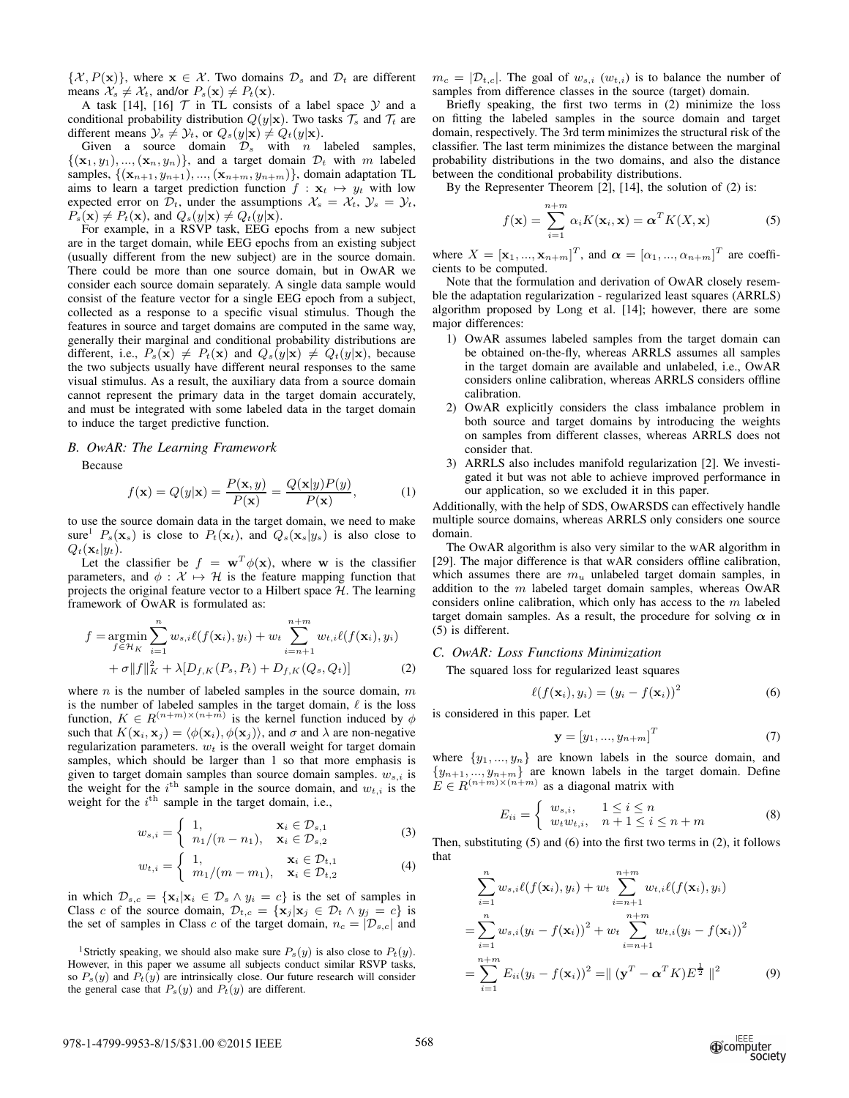$\{\mathcal{X}, P(\mathbf{x})\}\$ , where  $\mathbf{x} \in \mathcal{X}$ . Two domains  $\mathcal{D}_s$  and  $\mathcal{D}_t$  are different means  $\mathcal{X}_s \neq \mathcal{X}_t$ , and/or  $P_s(\mathbf{x}) \neq P_t(\mathbf{x})$ .

A task [14], [16]  $T$  in TL consists of a label space  $Y$  and a conditional probability distribution  $Q(y|\mathbf{x})$ . Two tasks  $\mathcal{T}_s$  and  $\mathcal{T}_t$  are different means  $\mathcal{Y}_s \neq \mathcal{Y}_t$ , or  $Q_s(y|\mathbf{x}) \neq Q_t(y|\mathbf{x})$ .

Given a source domain  $\mathcal{D}_s$  with *n* labeled samples,  $\{(\mathbf{x}_1, y_1), ..., (\mathbf{x}_n, y_n)\}\$ , and a target domain  $\mathcal{D}_t$  with m labeled samples,  $\{(\mathbf{x}_{n+1}, y_{n+1}), ..., (\mathbf{x}_{n+m}, y_{n+m})\}$ , domain adaptation TL aims to learn a target prediction function  $f : \mathbf{x}_t \mapsto y_t$  with low expected error on  $\mathcal{D}_t$ , under the assumptions  $\mathcal{X}_s = \mathcal{X}_t$ ,  $\mathcal{Y}_s = \mathcal{Y}_t$ ,  $P_s(\mathbf{x}) \neq P_t(\mathbf{x})$ , and  $Q_s(y|\mathbf{x}) \neq Q_t(y|\mathbf{x})$ .

For example, in a RSVP task, EEG epochs from a new subject are in the target domain, while EEG epochs from an existing subject (usually different from the new subject) are in the source domain. There could be more than one source domain, but in OwAR we consider each source domain separately. A single data sample would consist of the feature vector for a single EEG epoch from a subject, collected as a response to a specific visual stimulus. Though the features in source and target domains are computed in the same way, generally their marginal and conditional probability distributions are different, i.e.,  $P_s(\mathbf{x}) \neq P_t(\mathbf{x})$  and  $Q_s(y|\mathbf{x}) \neq Q_t(y|\mathbf{x})$ , because the two subjects usually have different neural responses to the same visual stimulus. As a result, the auxiliary data from a source domain cannot represent the primary data in the target domain accurately, and must be integrated with some labeled data in the target domain to induce the target predictive function.

#### *B. OwAR: The Learning Framework*

Because

$$
f(\mathbf{x}) = Q(y|\mathbf{x}) = \frac{P(\mathbf{x}, y)}{P(\mathbf{x})} = \frac{Q(\mathbf{x}|y)P(y)}{P(\mathbf{x})},
$$
(1)

to use the source domain data in the target domain, we need to make sure<sup>1</sup>  $P_s(\mathbf{x}_s)$  is close to  $P_t(\mathbf{x}_t)$ , and  $Q_s(\mathbf{x}_s|y_s)$  is also close to  $Q_t(\mathbf{x}_t|y_t).$ 

Let the classifier be  $f = \mathbf{w}^T \phi(\mathbf{x})$ , where w is the classifier parameters, and  $\phi : \mathcal{X} \mapsto \mathcal{H}$  is the feature mapping function that projects the original feature vector to a Hilbert space  $H$ . The learning framework of OwAR is formulated as:

$$
f = \underset{f \in \mathcal{H}_K}{\text{argmin}} \sum_{i=1}^n w_{s,i} \ell(f(\mathbf{x}_i), y_i) + w_t \sum_{i=n+1}^{n+m} w_{t,i} \ell(f(\mathbf{x}_i), y_i) + \sigma ||f||_K^2 + \lambda [D_{f,K}(P_s, P_t) + D_{f,K}(Q_s, Q_t)]
$$
(2)

where  $n$  is the number of labeled samples in the source domain,  $m$ is the number of labeled samples in the target domain,  $\ell$  is the loss function,  $K \in R^{(n+m)\times (n+m)}$  is the kernel function induced by  $\phi$ such that  $K(\mathbf{x}_i, \mathbf{x}_j) = \langle \phi(\mathbf{x}_i), \phi(\mathbf{x}_j) \rangle$ , and  $\sigma$  and  $\lambda$  are non-negative regularization parameters.  $w_t$  is the overall weight for target domain samples, which should be larger than 1 so that more emphasis is given to target domain samples than source domain samples.  $w_{s,i}$  is the weight for the  $i^{\text{th}}$  sample in the source domain, and  $w_{t,i}$  is the weight for the  $i<sup>th</sup>$  sample in the target domain, i.e.,

$$
w_{s,i} = \begin{cases} 1, & \mathbf{x}_i \in \mathcal{D}_{s,1} \\ n_1/(n - n_1), & \mathbf{x}_i \in \mathcal{D}_{s,2} \end{cases}
$$
 (3)

$$
w_{t,i} = \begin{cases} 1, & \mathbf{x}_i \in \mathcal{D}_{t,1} \\ m_1/(m-m_1), & \mathbf{x}_i \in \mathcal{D}_{t,2} \end{cases}
$$
 (4)

in which  $\mathcal{D}_{s,c} = {\mathbf{x}_i | \mathbf{x}_i \in \mathcal{D}_s \land y_i = c}$  is the set of samples in Class c of the source domain,  $\mathcal{D}_{t,c} = {\mathbf{x}_i | \mathbf{x}_i \in \mathcal{D}_t \wedge y_i = c}$  is the set of samples in Class c of the target domain,  $n_c = |\mathcal{D}_{s,c}|$  and  $m_c = |\mathcal{D}_{t,c}|$ . The goal of  $w_{s,i}$  ( $w_{t,i}$ ) is to balance the number of samples from difference classes in the source (target) domain.

Briefly speaking, the first two terms in (2) minimize the loss on fitting the labeled samples in the source domain and target domain, respectively. The 3rd term minimizes the structural risk of the classifier. The last term minimizes the distance between the marginal probability distributions in the two domains, and also the distance between the conditional probability distributions.

By the Representer Theorem [2], [14], the solution of (2) is:

$$
f(\mathbf{x}) = \sum_{i=1}^{n+m} \alpha_i K(\mathbf{x}_i, \mathbf{x}) = \boldsymbol{\alpha}^T K(X, \mathbf{x})
$$
 (5)

where  $X = [\mathbf{x}_1, ..., \mathbf{x}_{n+m}]^T$ , and  $\boldsymbol{\alpha} = [\alpha_1, ..., \alpha_{n+m}]^T$  are coefficients to be computed.

Note that the formulation and derivation of OwAR closely resemble the adaptation regularization - regularized least squares (ARRLS) algorithm proposed by Long et al. [14]; however, there are some major differences:

- 1) OwAR assumes labeled samples from the target domain can be obtained on-the-fly, whereas ARRLS assumes all samples in the target domain are available and unlabeled, i.e., OwAR considers online calibration, whereas ARRLS considers offline calibration.
- 2) OwAR explicitly considers the class imbalance problem in both source and target domains by introducing the weights on samples from different classes, whereas ARRLS does not consider that.
- 3) ARRLS also includes manifold regularization [2]. We investigated it but was not able to achieve improved performance in our application, so we excluded it in this paper.

Additionally, with the help of SDS, OwARSDS can effectively handle multiple source domains, whereas ARRLS only considers one source domain.

The OwAR algorithm is also very similar to the wAR algorithm in [29]. The major difference is that wAR considers offline calibration, which assumes there are  $m<sub>u</sub>$  unlabeled target domain samples, in addition to the  $m$  labeled target domain samples, whereas OwAR considers online calibration, which only has access to the  $m$  labeled target domain samples. As a result, the procedure for solving  $\alpha$  in (5) is different.

#### *C. OwAR: Loss Functions Minimization*

The squared loss for regularized least squares

$$
\ell(f(\mathbf{x}_i), y_i) = (y_i - f(\mathbf{x}_i))^2
$$
\n(6)

is considered in this paper. Let

$$
\mathbf{y} = [y_1, \dots, y_{n+m}]^T \tag{7}
$$

where  $\{y_1, ..., y_n\}$  are known labels in the source domain, and  ${y_{n+1},..., y_{n+m}}$  are known labels in the target domain. Define  $E \in R^{(n+m)\times (n+m)}$  as a diagonal matrix with

$$
E_{ii} = \begin{cases} w_{s,i}, & 1 \le i \le n \\ w_t w_{t,i}, & n+1 \le i \le n+m \end{cases} \tag{8}
$$

Then, substituting  $(5)$  and  $(6)$  into the first two terms in  $(2)$ , it follows that

$$
\sum_{i=1}^{n} w_{s,i} \ell(f(\mathbf{x}_i), y_i) + w_t \sum_{i=n+1}^{n+m} w_{t,i} \ell(f(\mathbf{x}_i), y_i)
$$
  
= 
$$
\sum_{i=1}^{n} w_{s,i} (y_i - f(\mathbf{x}_i))^2 + w_t \sum_{i=n+1}^{n+m} w_{t,i} (y_i - f(\mathbf{x}_i))^2
$$
  
= 
$$
\sum_{i=1}^{n+m} E_{ii} (y_i - f(\mathbf{x}_i))^2 = ||(\mathbf{y}^T - \mathbf{\alpha}^T K) E^{\frac{1}{2}}||^2
$$
(9)

<sup>&</sup>lt;sup>1</sup>Strictly speaking, we should also make sure  $P_s(y)$  is also close to  $P_t(y)$ . However, in this paper we assume all subjects conduct similar RSVP tasks, so  $P_s(y)$  and  $P_t(y)$  are intrinsically close. Our future research will consider the general case that  $P_s(y)$  and  $P_t(y)$  are different.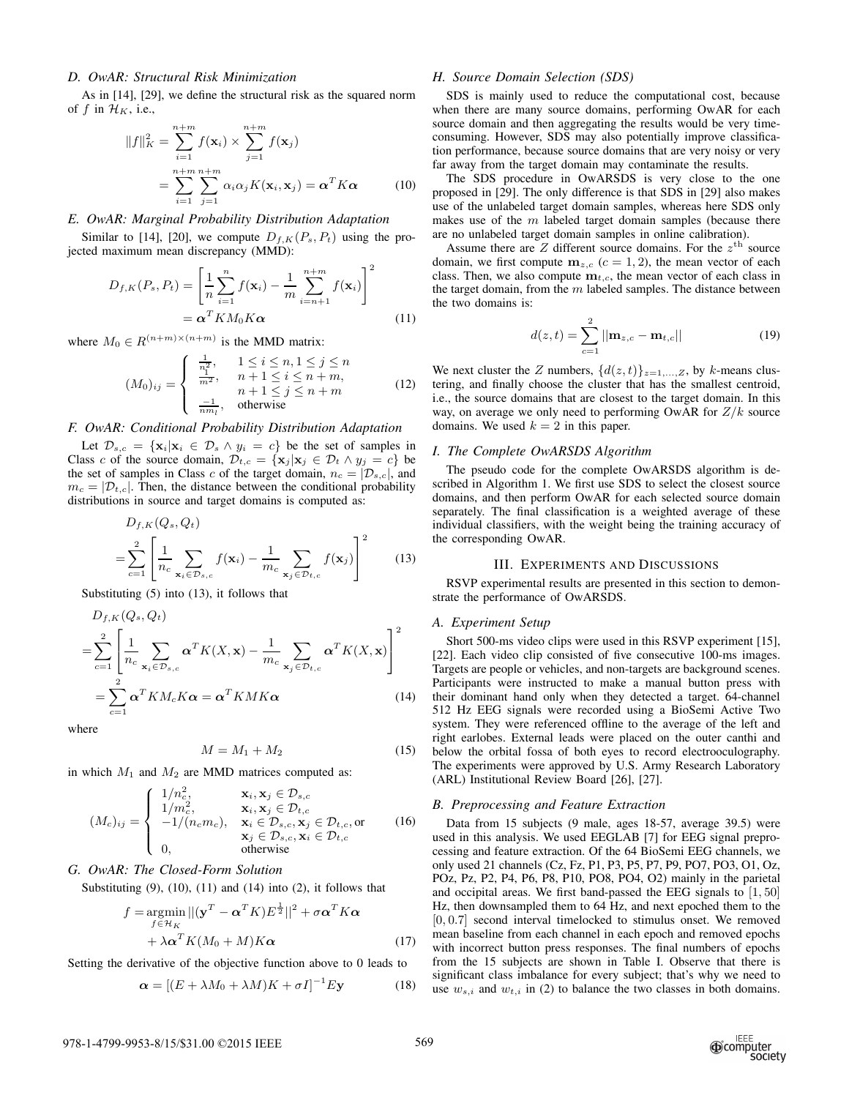## *D. OwAR: Structural Risk Minimization*

As in [14], [29], we define the structural risk as the squared norm of f in  $\mathcal{H}_K$ , i.e.,

$$
||f||_K^2 = \sum_{i=1}^{n+m} f(\mathbf{x}_i) \times \sum_{j=1}^{n+m} f(\mathbf{x}_j)
$$
  
= 
$$
\sum_{i=1}^{n+m} \sum_{j=1}^{n+m} \alpha_i \alpha_j K(\mathbf{x}_i, \mathbf{x}_j) = \boldsymbol{\alpha}^T K \boldsymbol{\alpha}
$$
 (10)

# *E. OwAR: Marginal Probability Distribution Adaptation*

Similar to [14], [20], we compute  $D_{f,K}(P_s, P_t)$  using the projected maximum mean discrepancy (MMD):

$$
D_{f,K}(P_s, P_t) = \left[\frac{1}{n}\sum_{i=1}^n f(\mathbf{x}_i) - \frac{1}{m}\sum_{i=n+1}^{n+m} f(\mathbf{x}_i)\right]^2
$$
  
=  $\alpha^T K M_0 K \alpha$  (11)

where  $M_0 \in R^{(n+m)\times (n+m)}$  is the MMD matrix:

$$
(M_0)_{ij} = \begin{cases} \frac{1}{n_1^2}, & 1 \le i \le n, 1 \le j \le n \\ \frac{1}{m^2}, & n+1 \le i \le n+m, \\ n+1 \le j \le n+m \\ \frac{-1}{nm_1}, & \text{otherwise} \end{cases}
$$
(12)

## *F. OwAR: Conditional Probability Distribution Adaptation*

Let  $\mathcal{D}_{s,c} = {\mathbf{x}_i | \mathbf{x}_i \in \mathcal{D}_s \land y_i = c}$  be the set of samples in Class c of the source domain,  $\mathcal{D}_{t,c} = {\mathbf{x}_j | \mathbf{x}_j \in \mathcal{D}_t \wedge y_j = c}$  be the set of samples in Class c of the target domain,  $n_c = |\mathcal{D}_{s,c}|$ , and  $m_c = |\mathcal{D}_{t,c}|$ . Then, the distance between the conditional probability distributions in source and target domains is computed as:

$$
D_{f,K}(Q_s, Q_t)
$$
  
= 
$$
\sum_{c=1}^{2} \left[ \frac{1}{n_c} \sum_{\mathbf{x}_i \in \mathcal{D}_{s,c}} f(\mathbf{x}_i) - \frac{1}{m_c} \sum_{\mathbf{x}_j \in \mathcal{D}_{t,c}} f(\mathbf{x}_j) \right]^2
$$
(13)

Substituting (5) into (13), it follows that

$$
D_{f,K}(Q_s, Q_t)
$$
  
=
$$
\sum_{c=1}^{2} \left[ \frac{1}{n_c} \sum_{\mathbf{x}_i \in \mathcal{D}_{s,c}} \alpha^T K(X, \mathbf{x}) - \frac{1}{m_c} \sum_{\mathbf{x}_j \in \mathcal{D}_{t,c}} \alpha^T K(X, \mathbf{x}) \right]^2
$$
  
=
$$
\sum_{c=1}^{2} \alpha^T K M_c K \alpha = \alpha^T K M K \alpha
$$
(14)

where

$$
M = M_1 + M_2 \tag{15}
$$

in which  $M_1$  and  $M_2$  are MMD matrices computed as:

$$
(M_c)_{ij} = \begin{cases} 1/n_c^2, & \mathbf{x}_i, \mathbf{x}_j \in \mathcal{D}_{s,c} \\ 1/m_c^2, & \mathbf{x}_i, \mathbf{x}_j \in \mathcal{D}_{t,c} \\ -1/(n_c m_c), & \mathbf{x}_i \in \mathcal{D}_{s,c}, \mathbf{x}_j \in \mathcal{D}_{t,c}, \text{or} \\ \mathbf{x}_j \in \mathcal{D}_{s,c}, \mathbf{x}_i \in \mathcal{D}_{t,c} \\ 0, & \text{otherwise} \end{cases}
$$
 (16)

## *G. OwAR: The Closed-Form Solution*

Substituting  $(9)$ ,  $(10)$ ,  $(11)$  and  $(14)$  into  $(2)$ , it follows that

$$
f = \underset{f \in \mathcal{H}_K}{\operatorname{argmin}} ||(\mathbf{y}^T - \boldsymbol{\alpha}^T K) E^{\frac{1}{2}}||^2 + \sigma \boldsymbol{\alpha}^T K \boldsymbol{\alpha} + \lambda \boldsymbol{\alpha}^T K (M_0 + M) K \boldsymbol{\alpha}
$$
 (17)

Setting the derivative of the objective function above to 0 leads to

$$
\boldsymbol{\alpha} = \left[ (E + \lambda M_0 + \lambda M) K + \sigma I \right]^{-1} E \mathbf{y} \tag{18}
$$

#### *H. Source Domain Selection (SDS)*

SDS is mainly used to reduce the computational cost, because when there are many source domains, performing OwAR for each source domain and then aggregating the results would be very timeconsuming. However, SDS may also potentially improve classification performance, because source domains that are very noisy or very far away from the target domain may contaminate the results.

The SDS procedure in OwARSDS is very close to the one proposed in [29]. The only difference is that SDS in [29] also makes use of the unlabeled target domain samples, whereas here SDS only makes use of the  $m$  labeled target domain samples (because there are no unlabeled target domain samples in online calibration).

Assume there are  $Z$  different source domains. For the  $z^{\text{th}}$  source domain, we first compute  $m_{z,c}$  ( $c = 1, 2$ ), the mean vector of each class. Then, we also compute  $\mathbf{m}_{t,c}$ , the mean vector of each class in the target domain, from the  $m$  labeled samples. The distance between the two domains is:

$$
d(z,t) = \sum_{c=1}^{2} ||\mathbf{m}_{z,c} - \mathbf{m}_{t,c}||
$$
 (19)

We next cluster the Z numbers,  $\{d(z, t)\}_{z=1,\dots,Z}$ , by k-means clustering, and finally choose the cluster that has the smallest centroid, i.e., the source domains that are closest to the target domain. In this way, on average we only need to performing OwAR for  $Z/k$  source domains. We used  $k = 2$  in this paper.

## *I. The Complete OwARSDS Algorithm*

The pseudo code for the complete OwARSDS algorithm is described in Algorithm 1. We first use SDS to select the closest source domains, and then perform OwAR for each selected source domain separately. The final classification is a weighted average of these individual classifiers, with the weight being the training accuracy of the corresponding OwAR.

# III. EXPERIMENTS AND DISCUSSIONS

RSVP experimental results are presented in this section to demonstrate the performance of OwARSDS.

## *A. Experiment Setup*

Short 500-ms video clips were used in this RSVP experiment [15], [22]. Each video clip consisted of five consecutive 100-ms images. Targets are people or vehicles, and non-targets are background scenes. Participants were instructed to make a manual button press with their dominant hand only when they detected a target. 64-channel 512 Hz EEG signals were recorded using a BioSemi Active Two system. They were referenced offline to the average of the left and right earlobes. External leads were placed on the outer canthi and below the orbital fossa of both eyes to record electrooculography. The experiments were approved by U.S. Army Research Laboratory (ARL) Institutional Review Board [26], [27].

## *B. Preprocessing and Feature Extraction*

Data from 15 subjects (9 male, ages 18-57, average 39.5) were used in this analysis. We used EEGLAB [7] for EEG signal preprocessing and feature extraction. Of the 64 BioSemi EEG channels, we only used 21 channels (Cz, Fz, P1, P3, P5, P7, P9, PO7, PO3, O1, Oz, POz, Pz, P2, P4, P6, P8, P10, PO8, PO4, O2) mainly in the parietal and occipital areas. We first band-passed the EEG signals to [1, 50] Hz, then downsampled them to 64 Hz, and next epoched them to the [0, 0.7] second interval timelocked to stimulus onset. We removed mean baseline from each channel in each epoch and removed epochs with incorrect button press responses. The final numbers of epochs from the 15 subjects are shown in Table I. Observe that there is significant class imbalance for every subject; that's why we need to use  $w_{s,i}$  and  $w_{t,i}$  in (2) to balance the two classes in both domains.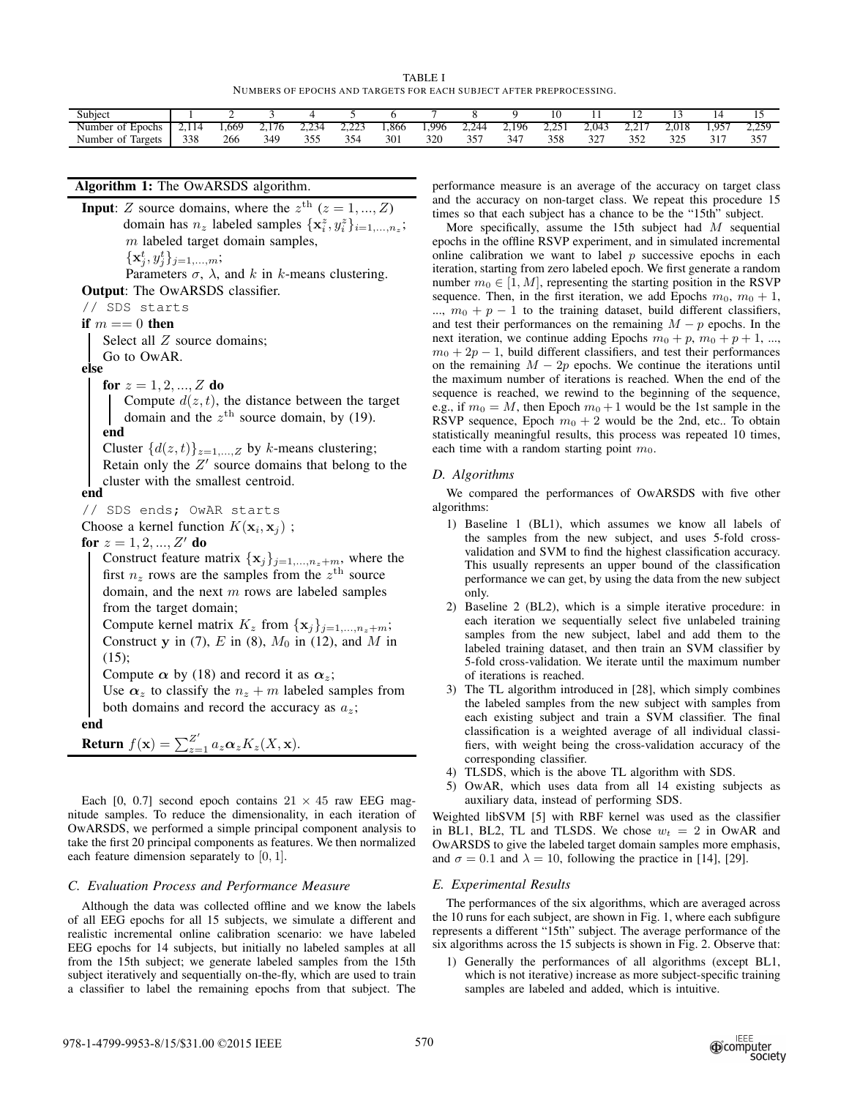TABLE I NUMBERS OF EPOCHS AND TARGETS FOR EACH SUBJECT AFTER PREPROCESSING.

| Subjec                    |       |      |                                              |                     |                            |      |       |                    |                            |                    |                             |                             |           |                      |                 |
|---------------------------|-------|------|----------------------------------------------|---------------------|----------------------------|------|-------|--------------------|----------------------------|--------------------|-----------------------------|-----------------------------|-----------|----------------------|-----------------|
| Number<br>0t<br>Epochs    | 2.119 | .669 | $\overline{\phantom{a}}$<br>76<br>. <u>.</u> | 22.5<br>-44<br>---- | $\cap \cap$<br><u>____</u> | .866 | 1.996 | .744<br><u>___</u> | 196                        | つうだい<br><u>___</u> | 2.043                       | $\sim$ $\sim$<br><u>_ _</u> | 2.018     | $1.95^{\circ}$       | 250<br><u>.</u> |
| Number<br>- of<br>Targets | 338   | 266  | 349                                          | 25.5<br>. ب         | 354<br>- ت                 | 301  | 320   | つぐ<br>ັບ           | $\sim$ $\cdot$<br>-14<br>◡ | 358                | $\sim$ $\sim$ $\sim$<br>ے د | つどへ                         | 22<br>--- | 21 <sup>2</sup><br>◡ | 257<br>ر ر      |

# **Algorithm 1:** The OwARSDS algorithm.

**Input**: Z source domains, where the  $z^{\text{th}}$   $(z = 1, ..., Z)$ domain has  $n_z$  labeled samples  $\{\mathbf x_i^z, y_i^z\}_{i=1,\dots,n_z}$ ;  $m$  labeled target domain samples,

 $\{\mathbf x_j^t, y_j^t\}_{j=1,...,m};$ 

Parameters  $\sigma$ ,  $\lambda$ , and k in k-means clustering. **Output**: The OwARSDS classifier.

// SDS starts

**if**  $m == 0$  **then** 

Select all Z source domains;

Go to OwAR.

**else**

**for**  $z = 1, 2, ..., Z$  **do** 

Compute  $d(z, t)$ , the distance between the target domain and the  $z^{\text{th}}$  source domain, by (19). **end**

Cluster  $\{d(z, t)\}_{z=1,\dots, Z}$  by k-means clustering; Retain only the  $Z'$  source domains that belong to the cluster with the smallest centroid.

**end**

// SDS ends; OwAR starts Choose a kernel function  $K(\mathbf{x}_i, \mathbf{x}_j)$ ;

**for**  $z = 1, 2, ..., Z'$  **do** 

Construct feature matrix  $\{x_j\}_{j=1,\ldots,n_z+m}$ , where the first  $n_z$  rows are the samples from the  $z^{\text{th}}$  source domain, and the next  $m$  rows are labeled samples from the target domain;

Compute kernel matrix  $K_z$  from  $\{x_j\}_{j=1,\ldots,n_z+m}$ ; Construct y in (7), E in (8),  $M_0$  in (12), and M in  $(15)$ :

Compute  $\alpha$  by (18) and record it as  $\alpha_z$ ;

Use  $\alpha_z$  to classify the  $n_z + m$  labeled samples from both domains and record the accuracy as  $a_z$ ;

**end**

**Return** 
$$
f(\mathbf{x}) = \sum_{z=1}^{Z'} a_z \alpha_z K_z(X, \mathbf{x}).
$$

Each [0, 0.7] second epoch contains  $21 \times 45$  raw EEG magnitude samples. To reduce the dimensionality, in each iteration of OwARSDS, we performed a simple principal component analysis to take the first 20 principal components as features. We then normalized each feature dimension separately to [0, 1].

## *C. Evaluation Process and Performance Measure*

Although the data was collected offline and we know the labels of all EEG epochs for all 15 subjects, we simulate a different and realistic incremental online calibration scenario: we have labeled EEG epochs for 14 subjects, but initially no labeled samples at all from the 15th subject; we generate labeled samples from the 15th subject iteratively and sequentially on-the-fly, which are used to train a classifier to label the remaining epochs from that subject. The performance measure is an average of the accuracy on target class and the accuracy on non-target class. We repeat this procedure 15 times so that each subject has a chance to be the "15th" subject.

More specifically, assume the 15th subject had  $M$  sequential epochs in the offline RSVP experiment, and in simulated incremental online calibration we want to label  $p$  successive epochs in each iteration, starting from zero labeled epoch. We first generate a random number  $m_0 \in [1, M]$ , representing the starting position in the RSVP sequence. Then, in the first iteration, we add Epochs  $m_0$ ,  $m_0 + 1$ , ...,  $m_0 + p - 1$  to the training dataset, build different classifiers, and test their performances on the remaining  $M - p$  epochs. In the next iteration, we continue adding Epochs  $m_0 + p$ ,  $m_0 + p + 1$ , ...,  $m_0 + 2p - 1$ , build different classifiers, and test their performances on the remaining  $M - 2p$  epochs. We continue the iterations until the maximum number of iterations is reached. When the end of the sequence is reached, we rewind to the beginning of the sequence, e.g., if  $m_0 = M$ , then Epoch  $m_0 + 1$  would be the 1st sample in the RSVP sequence, Epoch  $m_0 + 2$  would be the 2nd, etc.. To obtain statistically meaningful results, this process was repeated 10 times, each time with a random starting point  $m_0$ .

## *D. Algorithms*

We compared the performances of OwARSDS with five other algorithms:

- 1) Baseline 1 (BL1), which assumes we know all labels of the samples from the new subject, and uses 5-fold crossvalidation and SVM to find the highest classification accuracy. This usually represents an upper bound of the classification performance we can get, by using the data from the new subject only.
- 2) Baseline 2 (BL2), which is a simple iterative procedure: in each iteration we sequentially select five unlabeled training samples from the new subject, label and add them to the labeled training dataset, and then train an SVM classifier by 5-fold cross-validation. We iterate until the maximum number of iterations is reached.
- 3) The TL algorithm introduced in [28], which simply combines the labeled samples from the new subject with samples from each existing subject and train a SVM classifier. The final classification is a weighted average of all individual classifiers, with weight being the cross-validation accuracy of the corresponding classifier.
- 4) TLSDS, which is the above TL algorithm with SDS.
- 5) OwAR, which uses data from all 14 existing subjects as auxiliary data, instead of performing SDS.

Weighted libSVM [5] with RBF kernel was used as the classifier in BL1, BL2, TL and TLSDS. We chose  $w_t = 2$  in OwAR and OwARSDS to give the labeled target domain samples more emphasis, and  $\sigma = 0.1$  and  $\lambda = 10$ , following the practice in [14], [29].

## *E. Experimental Results*

The performances of the six algorithms, which are averaged across the 10 runs for each subject, are shown in Fig. 1, where each subfigure represents a different "15th" subject. The average performance of the six algorithms across the 15 subjects is shown in Fig. 2. Observe that:

1) Generally the performances of all algorithms (except BL1, which is not iterative) increase as more subject-specific training samples are labeled and added, which is intuitive.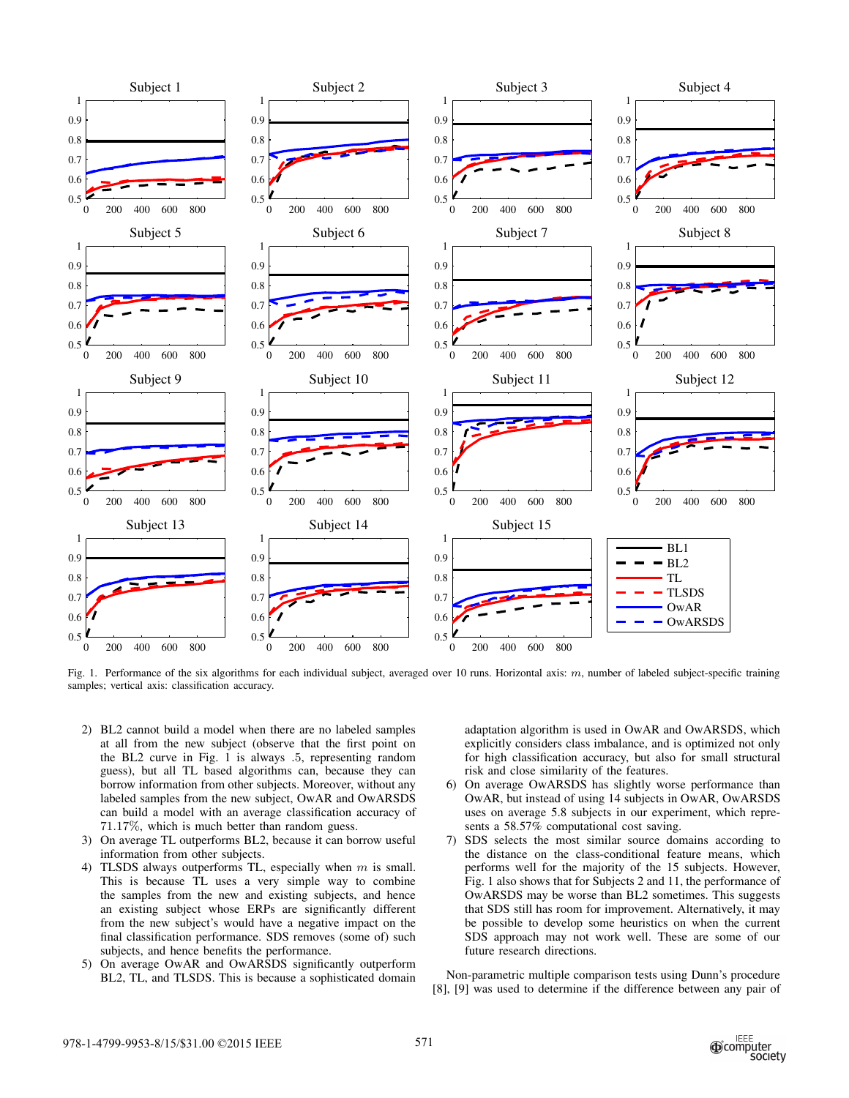

Fig. 1. Performance of the six algorithms for each individual subject, averaged over 10 runs. Horizontal axis:  $m$ , number of labeled subject-specific training samples; vertical axis: classification accuracy.

- 2) BL2 cannot build a model when there are no labeled samples at all from the new subject (observe that the first point on the BL2 curve in Fig. 1 is always .5, representing random guess), but all TL based algorithms can, because they can borrow information from other subjects. Moreover, without any labeled samples from the new subject, OwAR and OwARSDS can build a model with an average classification accuracy of 71.17%, which is much better than random guess.
- 3) On average TL outperforms BL2, because it can borrow useful information from other subjects.
- 4) TLSDS always outperforms TL, especially when  $m$  is small. This is because TL uses a very simple way to combine the samples from the new and existing subjects, and hence an existing subject whose ERPs are significantly different from the new subject's would have a negative impact on the final classification performance. SDS removes (some of) such subjects, and hence benefits the performance.
- 5) On average OwAR and OwARSDS significantly outperform BL2, TL, and TLSDS. This is because a sophisticated domain

adaptation algorithm is used in OwAR and OwARSDS, which explicitly considers class imbalance, and is optimized not only for high classification accuracy, but also for small structural risk and close similarity of the features.

- 6) On average OwARSDS has slightly worse performance than OwAR, but instead of using 14 subjects in OwAR, OwARSDS uses on average 5.8 subjects in our experiment, which represents a 58.57% computational cost saving.
- 7) SDS selects the most similar source domains according to the distance on the class-conditional feature means, which performs well for the majority of the 15 subjects. However, Fig. 1 also shows that for Subjects 2 and 11, the performance of OwARSDS may be worse than BL2 sometimes. This suggests that SDS still has room for improvement. Alternatively, it may be possible to develop some heuristics on when the current SDS approach may not work well. These are some of our future research directions.

Non-parametric multiple comparison tests using Dunn's procedure [8], [9] was used to determine if the difference between any pair of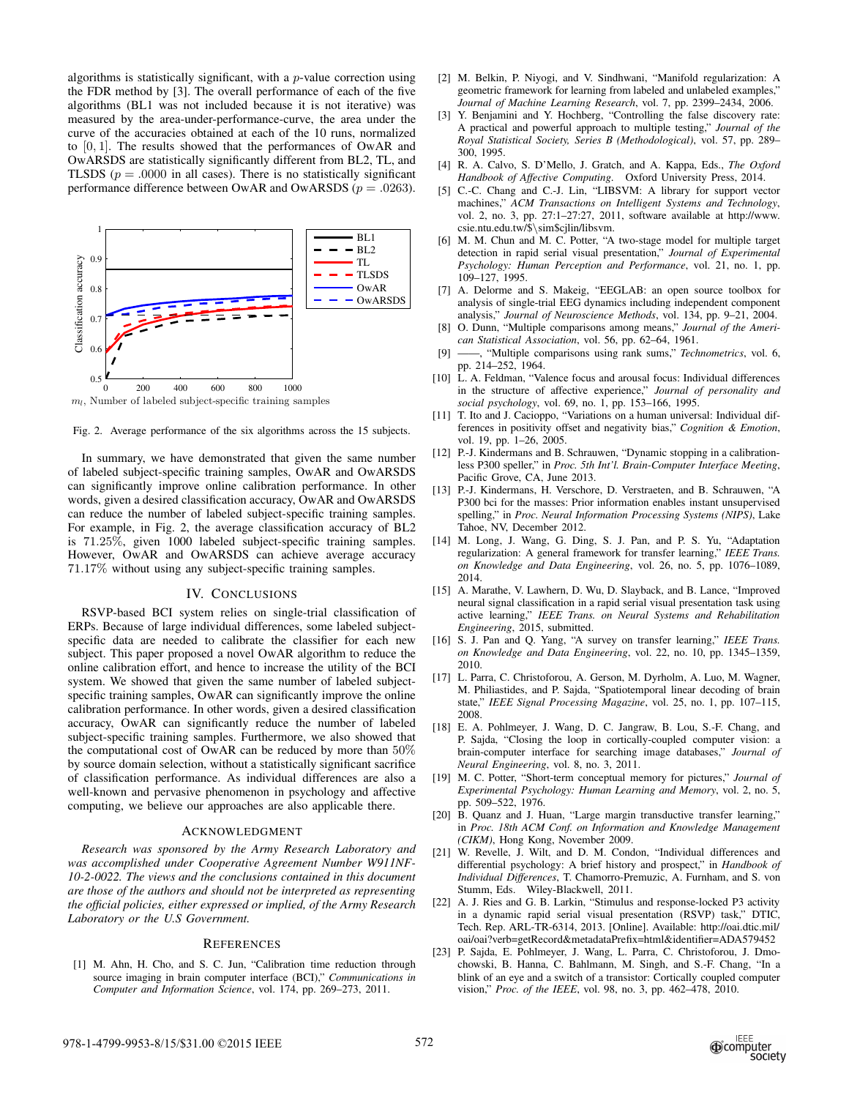algorithms is statistically significant, with a  $p$ -value correction using the FDR method by [3]. The overall performance of each of the five algorithms (BL1 was not included because it is not iterative) was measured by the area-under-performance-curve, the area under the curve of the accuracies obtained at each of the 10 runs, normalized to [0, 1]. The results showed that the performances of OwAR and OwARSDS are statistically significantly different from BL2, TL, and TLSDS ( $p = .0000$  in all cases). There is no statistically significant performance difference between OwAR and OwARSDS ( $p = .0263$ ).



 $m_l$ , Number of labeled subject-specific training samples

Fig. 2. Average performance of the six algorithms across the 15 subjects.

In summary, we have demonstrated that given the same number of labeled subject-specific training samples, OwAR and OwARSDS can significantly improve online calibration performance. In other words, given a desired classification accuracy, OwAR and OwARSDS can reduce the number of labeled subject-specific training samples. For example, in Fig. 2, the average classification accuracy of BL2 is 71.25%, given 1000 labeled subject-specific training samples. However, OwAR and OwARSDS can achieve average accuracy 71.17% without using any subject-specific training samples.

## IV. CONCLUSIONS

RSVP-based BCI system relies on single-trial classification of ERPs. Because of large individual differences, some labeled subjectspecific data are needed to calibrate the classifier for each new subject. This paper proposed a novel OwAR algorithm to reduce the online calibration effort, and hence to increase the utility of the BCI system. We showed that given the same number of labeled subjectspecific training samples, OwAR can significantly improve the online calibration performance. In other words, given a desired classification accuracy, OwAR can significantly reduce the number of labeled subject-specific training samples. Furthermore, we also showed that the computational cost of OwAR can be reduced by more than 50% by source domain selection, without a statistically significant sacrifice of classification performance. As individual differences are also a well-known and pervasive phenomenon in psychology and affective computing, we believe our approaches are also applicable there.

### ACKNOWLEDGMENT

*Research was sponsored by the Army Research Laboratory and was accomplished under Cooperative Agreement Number W911NF-10-2-0022. The views and the conclusions contained in this document are those of the authors and should not be interpreted as representing the official policies, either expressed or implied, of the Army Research Laboratory or the U.S Government.*

#### **REFERENCES**

[1] M. Ahn, H. Cho, and S. C. Jun, "Calibration time reduction through source imaging in brain computer interface (BCI)," *Communications in Computer and Information Science*, vol. 174, pp. 269–273, 2011.

- [2] M. Belkin, P. Niyogi, and V. Sindhwani, "Manifold regularization: A geometric framework for learning from labeled and unlabeled examples," *Journal of Machine Learning Research*, vol. 7, pp. 2399–2434, 2006.
- [3] Y. Benjamini and Y. Hochberg, "Controlling the false discovery rate: A practical and powerful approach to multiple testing," *Journal of the Royal Statistical Society, Series B (Methodological)*, vol. 57, pp. 289– 300, 1995.
- [4] R. A. Calvo, S. D'Mello, J. Gratch, and A. Kappa, Eds., *The Oxford Handbook of Affective Computing*. Oxford University Press, 2014.
- [5] C.-C. Chang and C.-J. Lin, "LIBSVM: A library for support vector machines," *ACM Transactions on Intelligent Systems and Technology*, vol. 2, no. 3, pp. 27:1–27:27, 2011, software available at http://www. csie.ntu.edu.tw/\$\sim\$cjlin/libsvm.
- [6] M. M. Chun and M. C. Potter, "A two-stage model for multiple target detection in rapid serial visual presentation," *Journal of Experimental Psychology: Human Perception and Performance*, vol. 21, no. 1, pp. 109–127, 1995.
- [7] A. Delorme and S. Makeig, "EEGLAB: an open source toolbox for analysis of single-trial EEG dynamics including independent component analysis," *Journal of Neuroscience Methods*, vol. 134, pp. 9–21, 2004.
- [8] O. Dunn, "Multiple comparisons among means," *Journal of the American Statistical Association*, vol. 56, pp. 62–64, 1961.
- [9] ——, "Multiple comparisons using rank sums," *Technometrics*, vol. 6, pp. 214–252, 1964.
- [10] L. A. Feldman, "Valence focus and arousal focus: Individual differences in the structure of affective experience," *Journal of personality and social psychology*, vol. 69, no. 1, pp. 153–166, 1995.
- [11] T. Ito and J. Cacioppo, "Variations on a human universal: Individual differences in positivity offset and negativity bias," *Cognition & Emotion*, vol. 19, pp. 1–26, 2005.
- [12] P.-J. Kindermans and B. Schrauwen, "Dynamic stopping in a calibrationless P300 speller," in *Proc. 5th Int'l. Brain-Computer Interface Meeting*, Pacific Grove, CA, June 2013.
- [13] P.-J. Kindermans, H. Verschore, D. Verstraeten, and B. Schrauwen, "A P300 bci for the masses: Prior information enables instant unsupervised spelling," in *Proc. Neural Information Processing Systems (NIPS)*, Lake Tahoe, NV, December 2012.
- [14] M. Long, J. Wang, G. Ding, S. J. Pan, and P. S. Yu, "Adaptation regularization: A general framework for transfer learning," *IEEE Trans. on Knowledge and Data Engineering*, vol. 26, no. 5, pp. 1076–1089, 2014.
- [15] A. Marathe, V. Lawhern, D. Wu, D. Slayback, and B. Lance, "Improved neural signal classification in a rapid serial visual presentation task using active learning," *IEEE Trans. on Neural Systems and Rehabilitation Engineering*, 2015, submitted.
- [16] S. J. Pan and Q. Yang, "A survey on transfer learning," *IEEE Trans. on Knowledge and Data Engineering*, vol. 22, no. 10, pp. 1345–1359, 2010.
- [17] L. Parra, C. Christoforou, A. Gerson, M. Dyrholm, A. Luo, M. Wagner, M. Philiastides, and P. Sajda, "Spatiotemporal linear decoding of brain state," *IEEE Signal Processing Magazine*, vol. 25, no. 1, pp. 107–115, 2008.
- [18] E. A. Pohlmeyer, J. Wang, D. C. Jangraw, B. Lou, S.-F. Chang, and P. Sajda, "Closing the loop in cortically-coupled computer vision: a brain-computer interface for searching image databases," *Journal of Neural Engineering*, vol. 8, no. 3, 2011.
- [19] M. C. Potter, "Short-term conceptual memory for pictures," *Journal of Experimental Psychology: Human Learning and Memory*, vol. 2, no. 5, pp. 509–522, 1976.
- [20] B. Quanz and J. Huan, "Large margin transductive transfer learning," in *Proc. 18th ACM Conf. on Information and Knowledge Management (CIKM)*, Hong Kong, November 2009.
- [21] W. Revelle, J. Wilt, and D. M. Condon, "Individual differences and differential psychology: A brief history and prospect," in *Handbook of Individual Differences*, T. Chamorro-Premuzic, A. Furnham, and S. von Stumm, Eds. Wiley-Blackwell, 2011.
- [22] A. J. Ries and G. B. Larkin, "Stimulus and response-locked P3 activity in a dynamic rapid serial visual presentation (RSVP) task," DTIC, Tech. Rep. ARL-TR-6314, 2013. [Online]. Available: http://oai.dtic.mil/ oai/oai?verb=getRecord&metadataPrefix=html&identifier=ADA579452
- [23] P. Sajda, E. Pohlmeyer, J. Wang, L. Parra, C. Christoforou, J. Dmochowski, B. Hanna, C. Bahlmann, M. Singh, and S.-F. Chang, "In a blink of an eye and a switch of a transistor: Cortically coupled computer vision," *Proc. of the IEEE*, vol. 98, no. 3, pp. 462–478, 2010.